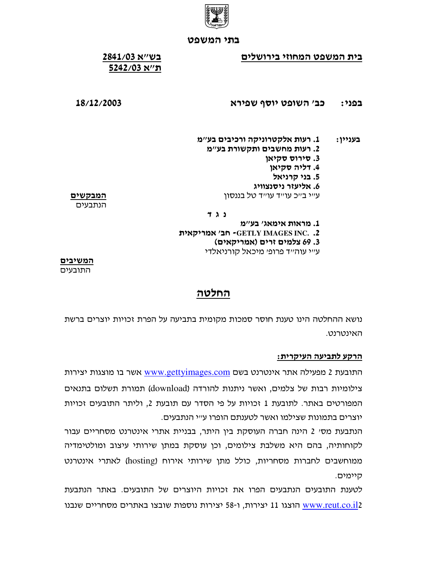

### בית המשפט המחוזי בירושלים

# בש״א 2841/03 ה'/א 5242/03

### כב׳ השופט יוסף שפירא בפני:

## 18/12/2003

1. רעות אלקטרוניקה ורכיבים בע״מ בעניין: 2. רעות מחשבים ותקשורת בע"מ 3. סירוס סקיאן 4. דליה סקיאן

- 5. בני קרניאל
- 6. אליעזר ניסנצוויג

עייי בייכ עוייד עוייד טל בננסון

<u>המבקשים</u> הנתבעים

נגד

1. מראות אימאג' בע"מ GETLY IMAGES INC. .2- חב׳ אמריקאית

3. 69 צלמים זרים (אמריקאים)

ע״י עוה״ד פרופ׳ מיכאל קורניאלדי

המשיבים התובעים

# החלטה

נושא ההחלטה הינו טענת חוסר סמכות מקומית בתביעה על הפרת זכויות יוצרים ברשת האינטרנט.

## הרקע לתביעה העיקרית:

התובעת 2 מפעילה אתר אינטרנט בשם www.gettyimages.com אשר בו מוצגות יצירות צילומיות רבות של צלמים, ואשר ניתנות להורדה (download) תמורת תשלום בתנאים המפורטים באתר. לתובעת 1 זכויות על פי הסדר עם תובעת 2, וליתר התובעים זכויות יוצרים בתמונות שצילמו ואשר לטענתם הופרו ע״י הנתבעים.

הנתבעת מסי 2 הינה חברה העוסקת בין היתר, בבניית אתרי אינטרנט מסחריים עבור לקוחותיה, בהם היא משלבת צילומים, וכן עוסקת במתן שירותי עיצוב ומולטימדיה ממוחשבים לחברות מסחריות, כולל מתן שירותי אירוח (hosting) לאתרי אינטרנט היימים.

לטענת התובעים הנתבעים הפרו את זכויות היוצרים של התובעים. באתר הנתבעת www.reut.co.il2 הוצגו 11 יצירות, ו-58 יצירות נוספות שובצו באתרים מסחריים שנבנו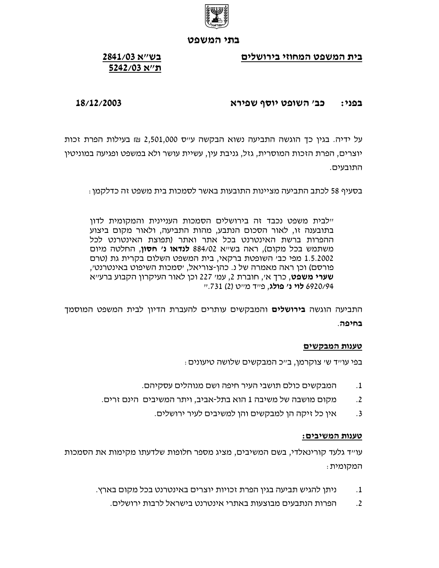

בית המשפט המחוזי בירושלים

# בש״א 2841/03 ה''א 5242/03

### כב׳ השופט יוסף שפירא בפני:

18/12/2003

על ידיה. בגין כך הוגשה התביעה נשוא הבקשה ע״ס 2,501,000 ₪ בעילות הפרת זכות יוצרים, הפרת הזכות המוסרית, גזל, גניבת עין, עשיית עושר ולא במשפט ופגיעה במוניטין התובעים.

בסעיף 58 לכתב התביעה מציינות התובעות באשר לסמכות בית משפט זה כדלקמן :

יילבית משפט נכבד זה בירושלים הסמכות העניינית והמקומית לדון בתובענה זו, לאור הסכום הנתבע, מהות התביעה, ולאור מקום ביצוע ההפרות ברשת האינטרנט בכל אתר ואתר (תפוצת האינטרנט לכל משתמש בכל מקום), ראה בשייא 884/02 **לנדאו נ' חסון**, החלטה מיום 1.5.2002 מפי כבי השופטת ברקאי, בית המשפט השלום בקרית גת (טרם פורסם) וכן ראה מאמרה של נ. כהן-צוריאל, יסמכות השיפוט באינטרנט׳, **שערי משפט,** כרך אי, חוברת 2, עמי 227 וכן לאור העיקרון הקבוע ברעייא 6920/94 **לוי נ׳ פולג**, פייד מייט (2) 731.יי

התביעה הוגשה **בירושלים** והמבקשים עותרים להעברת הדיון לבית המשפט המוסמך בחיפה.

## טענות המבקשים

: בפי עו״ד ש׳ צוקרמן, ב״כ המבקשים שלושה טיעונים

- המבקשים כולם תושבי העיר חיפה ושם מנוהלים עסקיהם.  $\cdot$ 1
- מקום מושבה של משיבה 1 הוא בתל-אביב, ויתר המשיבים הינם זרים.  $\cdot$ .2
	- אין כל זיקה הן למבקשים והן למשיבים לעיר ירושלים.  $\cdot$ .3

## טענות המשיבים:

עו״ד גלעד קורינאלדי, בשם המשיבים, מציג מספר חלופות שלדעתו מקימות את הסמכות המקומית:

- ניתו להגיש תביעה בגיו הפרת זכויות יוצרים באינטרנט בכל מקום בארץ.  $\cdot$ 1
	- הפרות הנתבעים מבוצעות באתרי אינטרנט בישראל לרבות ירושלים.  $\cdot$ .2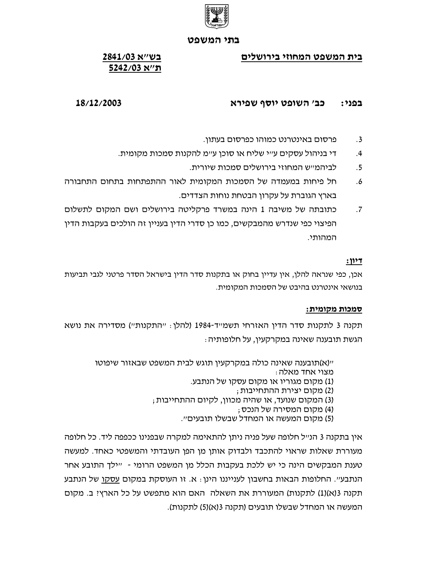

בית המשפט המחוזי בירושלים

# בש״א 2841/03 ה'/א 5242/03

### כב׳ השופט יוסף שפירא בפני:

# 18/12/2003

- פרסום באינטרנט כמוהו כפרסום בעתון.  $.3$
- די בניהול עסקים ע״י שליח או סוכן ע״מ להקנות סמכות מקומית.  $.4$ 
	- לביהמייש המחוזי בירושלים סמכות שיורית.  $.5$
- חל פיחות במעמדה של הסמכות המקומית לאור ההתפתחות בתחום התחבורה  $.6$ בארץ הגוברת על עקרון הבטחת נוחות הצדדים.
- כתובתה של משיבה 1 הינה במשרד פרקליטה בירושלים ושם המקום לתשלום  $\cdot$ .7 הפיצוי כפי שנדרש מהמבקשים, כמו כן סדרי הדין בעניין זה הולכים בעקבות הדין המהותי.

## $:1127$

אכן, כפי שנראה להלן, אין עדיין בחוק או בתקנות סדר הדין בישראל הסדר פרטני לגבי תביעות בנושאי אינטרנט בהיבט של הסמכות המקומית.

## סמכות מקומית:

תקנה 3 לתקנות סדר הדין האזרחי תשמייד-1984 (להלן : ייהתקנותיי) מסדירה את נושא הגשת תובענה שאינה במקרקעין, על חלופותיה :

> יי(א)תובענה שאינה כולה במקרקעין תוגש לבית המשפט שבאזור שיפוטו מצוי אחד מאלה : (1) מקום מגוריו או מקום עסקו של הנתבע. (2) מקום יצירת ההתחייבות; (3) המקום שנועד, או שהיה מכוון, לקיום ההתחייבות ; (4) מקום המסירה של הנכס ;

(5) מקום המעשה או המחדל שבשלו תובעים״.

אין בתקנה 3 הנ״ל חלופה שעל פניה ניתן להתאימה למקרה שבפנינו ככפפה ליד. כל חלופה מעוררת שאלות שראוי להתכבד ולבדוק אותן מן הפן העובדתי והמשפטי כאחד. למעשה טענת המבקשים הינה כי יש ללכת בעקבות הכלל מן המשפט הרומי - "ילך התובע אחר הנתבע״. החלופות הבאות בחשבון לענייננו הינן : א. זו העוסקת במקום עסקו של הנתבע תקנה 3(א)(1) לתקנות) המעוררת את השאלה האם הוא מתפשט על כל הארץ! ב. מקום המעשה או המחדל שבשלו תובעים (תקנה 3(א)(5) לתקנות).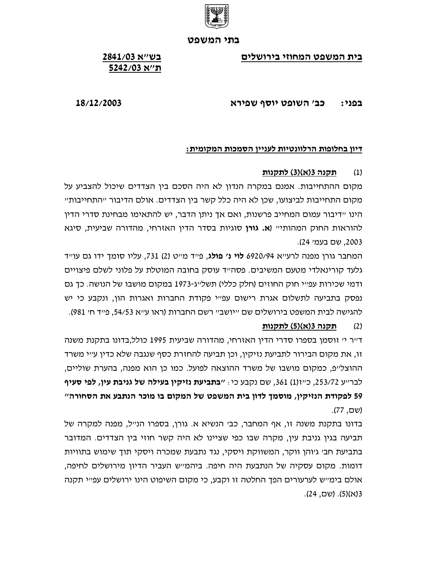

בית המשפט המחוזי בירושלים

# בש״א 2841/03 ה'/א 5242/03

### כב׳ השופט יוסף שפירא בפני:

18/12/2003

## דיון בחלופות הרלוונטיות לעניין הסמכות המקומית:

### תקנה 3(א)(3) לתקנות  $(1)$

מקום ההתחייבות. אמנם במקרה הנדון לא היה הסכם בין הצדדים שיכול להצביע על מקום התחייבות לביצועו, שכו לא היה כלל קשר ביו הצדדים. אולם הדיבור ״התחייבות״ הינו ״דיבור עמום המחייב פרשנות. ואם אך ניתן הדבר. יש להתאימו מבחינת סדרי הדין להוראות החוק המהותי״ (**א. גורן** סוגיות בסדר הדין האזרחי, מהדורה שביעית, סיגא 2003, שם בעמי 24).

המחבר גורן מפנה לרעייא 6920/94 **לוי נ' פולג**, פייד מייט (2) 731, עליו סומך ידו גם עוייד גלעד קורינאלדי מטעם המשיבים. פסה״ד עוסק בחובה המוטלת על פלוני לשלם פיצויים ודמי שכירות עפ״י חוק החוזים (חלק כללי) תשל״ג-1973 במקום מושבו של הנושה. כד גם נפסק בתביעה לתשלום אגרת רישום עפ"י פקודת החברות ואגרות הוו, ונקבע כי יש להגישה לבית המשפט בירושלים שם ״יושב״ רשם החברות (ראו ע״א 54/53. פ״ד ח׳ 981).

### תקנה 3(א)(5) לתקנות  $(2)$

ד״ר י׳ זוסמן בספרו סדרי הדין האזרחי, מהדורה שביעית 1995 כולל,בדונו בתקנת משנה זו, את מקום הבירור לתביעת נזיקין, וכן תביעה להחזרת כסף שנגבה שלא כדין ע״י משרד ההוצל״פ, כמקום מושבו של משרד ההוצאה לפועל. כמו כו הוא מפנה, בהערת שוליים, לברייע 253/72. כייז(1) 361, שם נקבע כי: **״בתביעת נזיקין בעילה של גניבת עין, לפי סעיף** 59 לפקודת הנזיקיו, מוסמד לדון בית המשפט של המקום בו מוכר הנתבע את הסחורה" (שם, 77).

בדונו בתקנת משנה זו, אף המחבר, כב׳ הנשיא א. גורו, בספרו הנ׳׳ל, מפנה למקרה של תביעה בגין גניבת עין, מקרה שבו כפי שציינו לא היה קשר חוזי בין הצדדים. המדובר בתביעת חב׳ גיוהן ווקר, המשווקת ויסקי, נגד נתבעת שמכרה ויסקי תוד שימוש בתוויות דומות. מקום עסקיה של הנתבעת היה חיפה. ביהמייש העביר הדיון מירושלים לחיפה, אולם בימ״ש לערעורים הפד החלטה זו וקבע, כי מקום השיפוט הינו ירושלים עפ״י תקנה 3(א)(5). (שם, 24).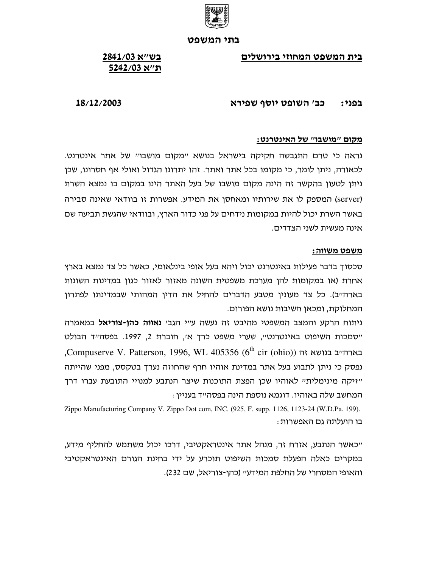

בית המשפט המחוזי בירושלים

# בש״א 2841/03 ה'/א 5242/03

### כב׳ השופט יוסף שפירא בפני:

## 18/12/2003

### <u>מקום "מושבו" של האינטרנט:</u>

נראה כי טרם התגבשה חקיקה בישראל בנושא "מקום מושבו" של אתר אינטרנט. לכאורה, ניתן לומר, כי מקומו בכל אתר ואתר. זהו יתרונו הגדול ואולי אף חסרונו, שכן ניתן לטעון בהקשר זה הינה מקום מושבו של בעל האתר הינו במקום בו נמצא השרת (server) המספק לו את שירותיו ומאחסן את המידע. אפשרות זו בוודאי שאינה סבירה באשר השרת יכול להיות במקומות נידחים על פני כדור הארץ, ובוודאי שהגשת תביעה שם אינה מעשית לשני הצדדים.

### <u>משפט משווה:</u>

סכסוך בדבר פעילות באינטרנט יכול ויהא בעל אופי בינלאומי, כאשר כל צד נמצא בארץ אחרת (או במקומות להן מערכת משפטית השונה מאזור לאזור כגון במדינות השונות בארה״ב). כל צד מעונין מטבע הדברים להחיל את הדין המהותי שבמדינתו לפתרון המחלוקת, ומכאן חשיבות נושא הפורום.

ניתוח הרקע והמצב המשפטי מהיבט זה נעשה ע"י הגב' נאווה כהן-צוריאל במאמרה ייסמכות השיפוט באינטרנטיי, שערי משפט כרך אי, חוברת 2, 1997. בפסהייד הבולט Compuserve V. Patterson, 1996, WL 405356 (6<sup>th</sup> cir (ohio)) בארה״ב בנושא זה נפסק כי ניתן לתבוע בעל אתר במדינת אוהיו חרף שהחוזה נערך בטקסס, מפני שהייתה "זיקה מינימלית" לאוהיו שכן הפצת התוכנות שיצר הנתבע למנויי התובעת עברו דרך המחשב שלה באוהיו. דוגמא נוספת הינה בפסה״ד בעניין :

Zippo Manufacturing Company V. Zippo Dot com, INC. (925, F. supp. 1126, 1123-24 (W.D.Pa. 199). בו הועלתה גם האפשרות :

״כאשר הנתבע, אזרח זר, מנהל אתר אינטראקטיבי, דרכו יכול משתמש להחליף מידע, במקרים כאלה הפעלת סמכות השיפוט תוכרע על ידי בחינת הגורם האינטראקטיבי והאופי המסחרי של החלפת המידעיי (כהן-צוריאל, שם 232).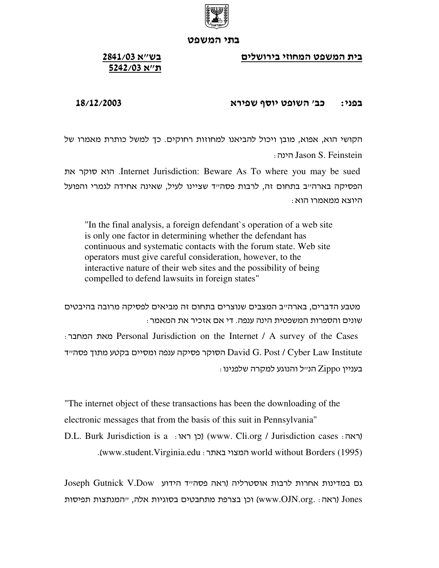

<u>בית המשפט המחוזי בירושלים</u>

# <u>בשייא 2841/03</u> <u>ת'יא 5242/03</u>

### פני: כב׳ השופט יוסף ש בפני:

# 18/12/2003

הקושי הוא, אפוא, מובן ויכול להביאנו למחוזות רחוקים. כך למשל כותרת מאמרו של ) Jason S. Feinstein

 Internet Jurisdiction: Beware As To where you may be sued הפסיקה בארהייב בתחום זה, לרבות פסהייד שציינו לעיל, שאינה אחידה לגמרי והפועל : היוצא ממאמרו הוא

"In the final analysis, a foreign defendant`s operation of a web site is only one factor in determining whether the defendant has continuous and systematic contacts with the forum state. Web site operators must give careful consideration, however, to the interactive nature of their web sites and the possibility of being compelled to defend lawsuits in foreign states"

מטבע הדברים, בארה״ב המצבים שנוצרים בתחום זה מביאים לפסיקה מרובה בהיבטים : שונים והספרות המשפטית הינה ענפה. די אם אזכיר את המאמר ) Personal Jurisdiction on the Internet / A survey of the Cases הסוקר פסיקה ענפה ומסיים בקטע מתוך פסה״ד David G. Post / Cyber Law Institute  $:$ בעניין Zippo הנ $\vee$ ל והנוגע למקרה שלפנינו

"The internet object of these transactions has been the downloading of the electronic messages that from the basis of this suit in Pennsylvania" D.L. Burk Jurisdiction is a ) (www. Cli.org / Jurisdiction cases ) .www.student.Virginia.edu ו המצוי באתר www.student.Virginia.edu ).

Joseph Gutnick V.Dow  וכן בצרפת מתחבטים בסוגיות אלה, ״המנתצות תפיסות (www.OJN.org. ו־Jones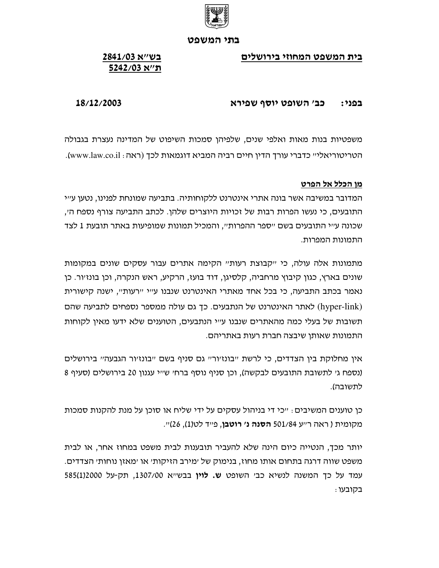

בית המשפט המחוזי בירושלים

# בש״א 2841/03 ה'/א 5242/03

### כב׳ השופט יוסף שפירא בפני:

# 18/12/2003

משפטיות בנות מאות ואלפי שנים, שלפיהן סמכות השיפוט של המדינה נעצרת בגבולה הטריטוריאלי״ כדברי עורך הדין חיים רביה המביא דוגמאות לכך (ראה : www.law.co.il).

## מן הכלל אל הפרט

המדובר במשיבה אשר בונה אתרי אינטרנט ללקוחותיה. בתביעה שמונחת לפנינו, נטען ע״י התובעים, כי נעשו הפרות רבות של זכויות היוצרים שלהן. לכתב התביעה צורף נספח ה׳, שכונה ע״י התובעים בשם ״ספר ההפרות״, והמכיל תמונות שמופיעות באתר תובעת 1 לצד התמונות המפרות.

מתמונות אלה עולה, כי ייקבוצת רעותיי הקימה אתרים עבור עסקים שונים במקומות שונים בארץ, כגון קיבוץ מרחביה, קלסיגן, דוד בועז, הרקיע, ראש הנקרה, וכן בונזיור. כן נאמר בכתב התביעה, כי בכל אחד מאתרי האינטרנט שנבנו עייי יירעותיי, ישנה קישורית (hyper-link) לאתר האינטרנט של הנתבעים. כך גם עולה ממספר נספחים לתביעה שהם תשובות של בעלי כמה מהאתרים שנבנו ע"י הנתבעים, הטוענים שלא ידעו מאיו לקוחות התמונות שאותן שיבצה חברת רעות באתריהם.

אין מחלוקת בין הצדדים, כי לרשת "בונזיור" גם סניף בשם "בונזיור הגבעה" בירושלים (נספח ג׳ לתשובת התובעים לבקשה), וכו סניף נוסף ברח׳ ש׳׳י עגנון 20 בירושלים (סעיף 8 לתשובה).

כן טוענים המשיבים: ״כי די בניהול עסקים על ידי שליח או סוכן על מנת להקנות סמכות מקומית ( ראה ר׳יע 501/84 **הסנה נ׳ רוטבן**, פייד לט(1), 26)יי.

יותר מכך, הנטייה כיום הינה שלא להעביר תובענות לבית משפט במחוז אחר, או לבית משפט שווה דרגה בתחום אותו מחוז, בנימוק של ׳מירב הזיקות׳ או ׳מאזן נוחות׳ הצדדים. עמד על כך המשנה לנשיא כב׳ השופט **ש. לוין** בבש׳יא 1307/00, תק-על 585(1)2000 בקובעו: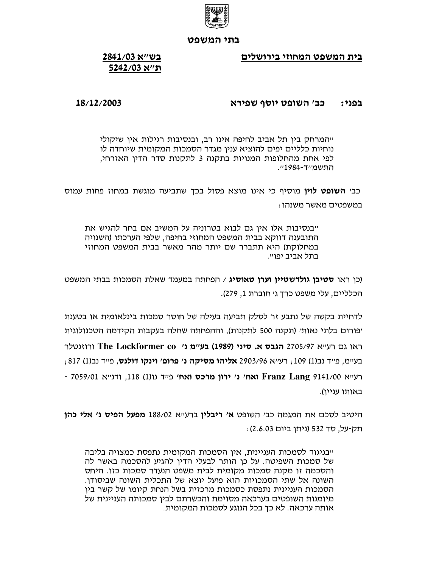

בית המשפט המחוזי בירושלים

# בש״א 2841/03 ה'/א 5242/03

### כב׳ השופט יוסף שפירא בפני:

## 18/12/2003

ייהמרחק בין תל אביב לחיפה אינו רב, ובנסיבות רגילות אין שיקולי נוחיות כלליים יפים להוציא ענין מגדר הסמכות המקומית שיוחדה לו לפי אחת מהחלופות המנויות בתקנה 3 לתקנות סדר הדין האזרחי. התשמייד-1984יי.

כב׳ **השופט לוין** מוסיף כי אינו מוצא פסול בכך שתביעה מוגשת במחוז פחות עמוס במשפטים מאשר משנהו :

ייבנסיבות אלו אין גם לבוא בטרוניה על המשיב אם בחר להגיש את התובענה דווקא בבית המשפט המחוזי בחיפה, שלפי הערכתו (השנויה במחלוקת) היא תתברר שם יותר מהר מאשר בבית המשפט המחוזי בתל אביב יפויי.

(כן ראו **סטיבן גולדשטיין וערן טאוסיג** / הפחתה במעמד שאלת הסמכות בבתי המשפט הכלליים, עלי משפט כרך ג׳ חוברת 1, 279).

לדחיית בקשה של נתבע זר לסלק תביעה בעילה של חוסר סמכות בינלאומית או בטענת יפורום בלתי נאותי (תקנה 500 לתקנות), וההפחתה שחלה בעקבות הקידמה הטכנולוגית רוווטלר The Lockformer co ורוונטלר (1989) בע״מ נ׳ The Lockformer co ורוונטלר בע׳ימ, פייד נב(1) 109 ; רע׳יא 2903/96 **אליהו מסיקה נ׳ פרופ׳ וינקו דולנס**, פייד נב(1) 817 ; - רעייא 141/00 Franz Lang **Kanz ואח׳ נ׳ ירון מרכס ואח׳** פייד נו(1) 118, ודנייא 7059/01 -באותו עניין).

היטיב לסכם את המגמה כב׳ השופט **א׳ ריבלין** ברע״א 188/02 **מפעל הפיס נ׳ אלי כהן** תק-על, סד 532 (ניתן ביום 2.6.03):

ייבניגוד לסמכות העניינית, אין הסמכות המקומית נתפסת כמצויה בליבה של סמכות השפיטה. על כו הותר לבעלי הדין להגיע להסכמה באשר לה והסכמה זו מקנה סמכות מקומית לבית משפט הנעדר סמכות כזו. היחס השונה אל שתי הסמכויות הוא פועל יוצא של התכלית השונה שביסודן. הסמכות העניינית נתפסת כסמכות מרכזית בשל הנחת קיומו של קשר בין מיומנות השופטים בערכאה מסוימת והכשרתם לבין סמכותה העניינית של אותה ערכאה. לא כך בכל הנוגע לסמכות המקומית.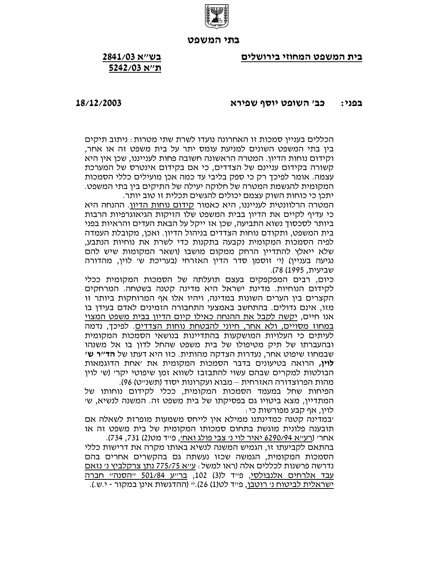

בית המשפט המחוזי בירושלים

# בש״א 2841/03 ה''א 5242/03

#### כב׳ השופט יוסף שפירא בפני:

### 18/12/2003

הכללים בעניין סמכות זו האחרונה נועדו לשרת שתי מטרות : ניתוב תיקים בין בתי המשפט השונים למניעת עומס יתר על בית משפט זה או אחר, וקידום נוחות הדיון. המטרה הראשונה חשובה פחות לענייננו, שכן אין היא קשורה בקידום עניינם של הצדדים, כי אם בקידום אינטרס של המערכת עצמה. אומר לפיכך רק כי ספק בליבי עד כמה אכן מועילים כללי הסמכות המקומית להגשמת המטרה של חלוקה יעילה של התיקים בין בתי המשפט. יתכן כי כוחות השוק עצמם יכולים להגשים תכלית זו טוב יותר.

המטרה הרלוונטית לענייננו, היא כאמור <u>קידום נוחות הדיון</u>. ההנחה היא כי עדיף לקיים את הדיון בבית המשפט שלו הזיקות הגיאוגרפיות הרבות ביותר לסכסוך נשוא התביעה, שכן אז ייקל על הבאת העדים והראיות בפני בית המשפט, ותקודם נוחות הצדדים בניהול הדיון. ואכן, מקובלת העמדה לפיה הסמכות המקומית נקבעה בתקנות כדי לשרת את נוחיות הנתבע, שלא ייאלץ להתדיין הרחק ממקום מושבו (ושאר המקומות שיש להם נגיעה בעניין) (יי זוסמן סדר הדין האזרחי (בעריכת שי לוין, מהדורה שביעית, 1995) 78).

כיום, רבים המפקפקים בעצם תועלתה של הסמכות המקומית ככלי לקידום הנוחיות. מדינת ישראל היא מדינה קטנה בשטחה. המרחקים הקצרים בין הערים השונות במדינה, ויהיו אלו אף המרוחקות ביותר זו מזו, אינם גדולים. בהתחשב באמצעי התחבורה הזמינים לאדם בעידן בו אנו חיים, יקשה לקבל את ההנחה כאילו קיום הדיון בבית משפט המצוי במחוז מסויים, ולא אחר, חיוני להבטחת נוחות הצדדים. לפיכך, נדמה לעיתים כי העלויות המושקעות בהתדיינות בנושאי הסמכות המקומית ובהעברתו של תיק מטיפולו של בית משפט שהחל לדון בו אל משנהו שבמחוז שיפוט אחר, נעדרות הצדקה מהותית. כזו היא דעתו של **הד"ר ש' לוין,** הרואה בטיעונים בדבר הסמכות המקומית את ׳אחת הדוגמאות הבולטות למקרים שבהם עשוי להתבזבז לשווא זמן שיפוטי יקר׳ (ש׳ לוין מהות הפרוצדורה האזרחית – מבוא ועקרונות יסוד (תשנ״ט) 96).

הפיחות שחל במעמד הסמכות המקומית, ככלי לקידום נוחותו של המתדיין, מצא ביטויו גם בפסיקתו של בית משפט זה. המשנה לנשיא, שי לוין, אף קבע מפורשות כי .

יבמדינה קטנה כמדינתנו ממילא אין לייחס משמעות מופרזת לשאלה אם תובענה פלונית מוגשת בתחום סמכותו המקומית של בית משפט זה או אחרי (רעייא 6290/94 יאיר לוי ני צבי פולג ואחי, פייד מט(2) 731, 734).

בהתאם לקביעתו זו, הגמיש המשנה לנשיא באותו מקרה את דרישות כללי הסמכות המקומית, הגמשה שכזו נעשתה גם בהקשרים אחרים בהם נדרשה פרשנות לכללים אלה (ראו למשל : ע״א 775/75 נתן צרקלביץ נ׳ נזאם <u>עבד אלרחים אלנבולסי,</u> פייד ל(3) 102, <u>ברייע 501/84 ייהסנהיי חברה</u> ישראלית <u>לביטוח ני רוטבן</u>, פייד לט(1) 26).י*י* (ההדגשות אינן במקור *- י*.ש.).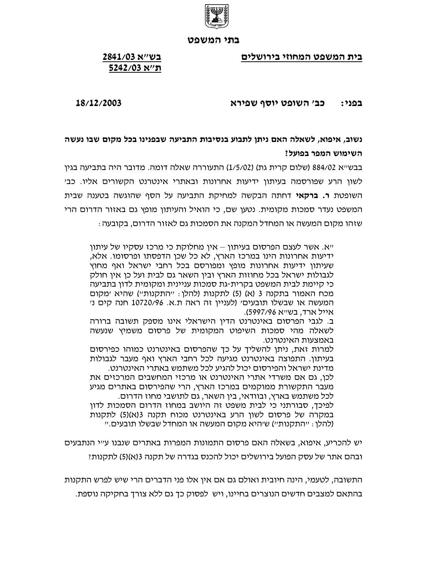

בית המשפט המחוזי בירושלים

# בש״א 2841/03 ה''א 5242/03

### כב׳ השופט יוסף שפירא בפני:

18/12/2003

נשוב, איפוא, לשאלה האם ניתן לתבוע בנסיבות התביעה שבפנינו בכל מקום שבו נעשה השימוש המפר בפועל?

בבש״א 884/02 (שלום קרית גת) (1/5/02) התעוררה שאלה דומה. מדובר היה בתביעה בגין לשון הרע שפורסמה בעיתון ידיעות אחרונות ובאתרי אינטרנט הקשורים אליו. כב׳ השופטת **ר. ברקאי** דחתה הבקשה למחיקת התביעה על הסף שהוגשה בטענה שבית המשפט נעדר סמכות מקומית. נטען שם, כי הואיל והעיתון מופץ גם באזור הדרום הרי שזהו מקום המעשה או המחדל המקנה את הסמכות גם לאזור הדרום, בקובעה :

ייא. אשר לעצם הפרסום בעיתון – אין מחלוקת כי מרכז עסקיו של עיתון ידיעות אחרונות הינו במרכז הארץ, לא כל שכן הדפסתו ופרסומו. אלא, שעיתון ידיעות אחרונות מופץ ומפורסם בכל רחבי ישראל ואף מחוץ לגבולות ישראל בכל מחוזות הארץ ובין השאר גם לבית ועל כן אין חולק כי קיימת לבית המשפט בקרית-גת סמכות עניינית ומקומית לדון בתביעה מכח האמור בתקנה 3 (א) (5) לתקנות (להלן : ייהתקנותיי) שהיא ימקום המעשה או שבשלו תובעים' (לעניין זה ראה ת.א. 10720/96 חנה קים ני אייל ארד, בש״א 5997/96).

ב. לגבי הפרסום באינטרנט הדין הישראלי אינו מספק תשובה ברורה לשאלה מהי סמכות השיפוט המקומית של פרסום משמיץ שנעשה באמצעות האינטרנט.

למרות זאת, ניתן להשליך על כך שהפרסום באינטרנט כמוהו כפירסום בעיתון. התפוצה באינטרנט מגיעה לכל רחבי הארץ ואף מעבר לגבולות מדינת ישראל והפירסום יכול להגיע לכל משתמש באתרי האינטרנט.

לכן, גם אם משרדי אתרי האינטרנט או מרכזי המחשבים המרכזים את מעבר התקשורת ממוקמים במרכז הארץ, הרי שהפירסום באתרים מגיע לכל משתמש בארץ, ובוודאי, בין השאר, גם לתושבי מחוז הדרום. לפיכך, סבורתני כי לבית משפט זה היושב במחוז הדרום הסמכות לדון במקרה של פרסום לשון הרע באינטרנט מכוח תקנה 3(א)(5) לתקנות (להלו : ייהתקנותיי) שיהיא מקום המעשה או המחדל שבשלו תובעים.יי

יש להכריע, איפוא, בשאלה האם פרסום התמונות המפרות באתרים שנבנו ע״י הנתבעים ובהם אתר של עסק הפועל בירושלים יכול להכנס בגדרה של תקנה 3(א)(5) לתקנות!

התשובה, לטעמי, הינה חיובית ואולם גם אם אין אלו פני הדברים הרי שיש לפרש התקנות בהתאם למצבים חדשים הנוצרים בחיינו, ויש לפסוק כד גם ללא צורד בחקיקה נוספת.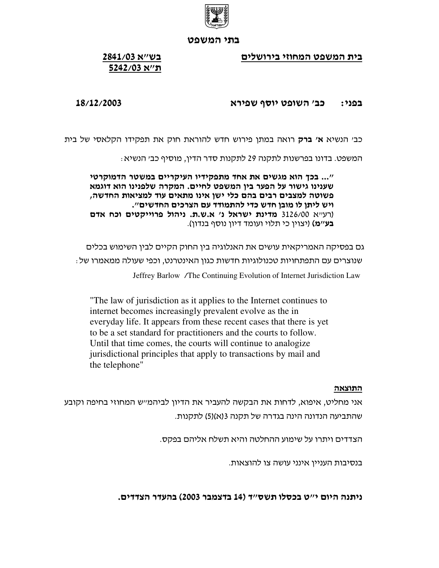

בית המשפט המחוזי בירושלים

# בש״א 2841/03 ת"א 5242/03

### כב׳ השופט יוסף שפירא בפני:

## 18/12/2003

כב׳ הנשיא **א׳ ברק** רואה במתן פירוש חדש להוראת חוק את תפקידו הקלאסי של בית

המשפט. בדונו בפרשנות לתקנה 29 לתקנות סדר הדין, מוסיף כב׳ הנשיא :

"... בכך הוא מגשים את אחד מתפקידיו העיקריים במשטר הדמוקרטי שענינו גישור על הפער בין המשפט לחיים. המקרה שלפנינו הוא דוגמא פשוטה למצבים רבים בהם כלי ישן אינו מתאים עוד למציאות החדשה, ויש ליתן לו מובן חדש כדי להתמודד עם הצרכים החדשים". (רעייא 3126/00 מדינת ישראל נ' א.ש.ת. ניהול פרוייקטים וכח אדם **בע׳׳מ)** (יצוין כי תלוי ועומד דיון נוסף בנדון).

גם בפסיקה האמריקאית עושים את האנלוגיה בין החוק הקיים לבין השימוש בכלים שנוצרים עם התפתחויות טכנולוגיות חדשות כגון האינטרנט, וכפי שעולה ממאמרו של : Jeffrey Barlow /The Continuing Evolution of Internet Jurisdiction Law

"The law of jurisdiction as it applies to the Internet continues to internet becomes increasingly prevalent evolve as the in everyday life. It appears from these recent cases that there is yet to be a set standard for practitioners and the courts to follow. Until that time comes, the courts will continue to analogize jurisdictional principles that apply to transactions by mail and the telephone"

## התוצאה

אני מחליט, איפוא, לדחות את הבקשה להעביר את הדיון לביהמייש המחוזי בחיפה וקובע שהתביעה הנדונה הינה בגדרה של תקנה 3(א)(5) לתקנות.

הצדדים ויתרו על שימוע ההחלטה והיא תשלח אליהם בפקס.

בנסיבות העניין אינני עושה צו להוצאות.

ניתנה היום י"ט בכסלו תשס"ד (14 בדצמבר 2003) בהעדר הצדדים.